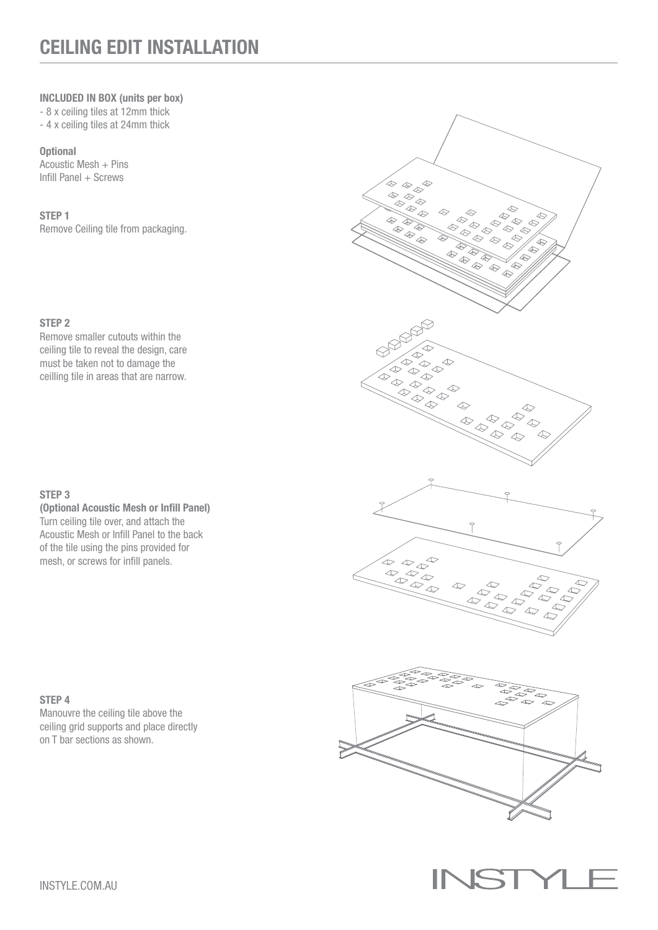# CEILING EDIT INSTALLATION

#### INCLUDED IN BOX (units per box)

- 8 x ceiling tiles at 12mm thick

- 4 x ceiling tiles at 24mm thick

**Optional** 

Acoustic Mesh + Pins Infill Panel + Screws

## STEP 1

Remove Ceiling tile from packaging.

# STEP 2

Remove smaller cutouts within the ceiling tile to reveal the design, care must be taken not to damage the ceilling tile in areas that are narrow.

#### STEP 3

(Optional Acoustic Mesh or Infill Panel) Turn ceiling tile over, and attach the Acoustic Mesh or Infill Panel to the back of the tile using the pins provided for mesh, or screws for infill panels.

## STEP 4

Manouvre the ceiling tile above the ceiling grid supports and place directly on T bar sections as shown.